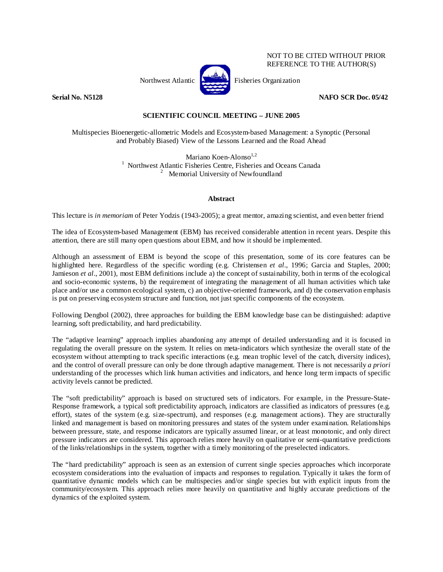

NOT TO BE CITED WITHOUT PRIOR REFERENCE TO THE AUTHOR(S)

**Serial No. N5128 NAFO SCR Doc. 05/42** 

## **SCIENTIFIC COUNCIL MEETING – JUNE 2005**

Multispecies Bioenergetic-allometric Models and Ecosystem-based Management: a Synoptic (Personal and Probably Biased) View of the Lessons Learned and the Road Ahead

> Mariano Koen-Alonso<sup>1,2</sup> <sup>1</sup> Northwest Atlantic Fisheries Centre, Fisheries and Oceans Canada  $\frac{2}{3}$  Memorial University of Newfoundland

## **Abstract**

This lecture is *in memoriam* of Peter Yodzis (1943-2005); a great mentor, amazing scientist, and even better friend

The idea of Ecosystem-based Management (EBM) has received considerable attention in recent years. Despite this attention, there are still many open questions about EBM, and how it should be implemented.

Although an assessment of EBM is beyond the scope of this presentation, some of its core features can be highlighted here. Regardless of the specific wording (e.g. Christensen *et al*., 1996; Garcia and Staples, 2000; Jamieson *et al*., 2001), most EBM definitions include a) the concept of sustainability, both in terms of the ecological and socio-economic systems, b) the requirement of integrating the management of all human activities which take place and/or use a common ecological system, c) an objective-oriented framework, and d) the conservation emphasis is put on preserving ecosystem structure and function, not just specific components of the ecosystem.

Following Dengbol (2002), three approaches for building the EBM knowledge base can be distinguished: adaptive learning, soft predictability, and hard predictability.

The "adaptive learning" approach implies abandoning any attempt of detailed understanding and it is focused in regulating the overall pressure on the system. It relies on meta-indicators which synthesize the overall state of the ecosystem without attempting to track specific interactions (e.g. mean trophic level of the catch, diversity indices), and the control of overall pressure can only be done through adaptive management. There is not necessarily *a priori* understanding of the processes which link human activities and indicators, and hence long term impacts of specific activity levels cannot be predicted.

The "soft predictability" approach is based on structured sets of indicators. For example, in the Pressure-State-Response framework, a typical soft predictability approach, indicators are classified as indicators of pressures (e.g. effort), states of the system (e.g. size-spectrum), and responses (e.g. management actions). They are structurally linked and management is based on monitoring pressures and states of the system under examination. Relationships between pressure, state, and response indicators are typically assumed linear, or at least monotonic, and only direct pressure indicators are considered. This approach relies more heavily on qualitative or semi-quantitative predictions of the links/relationships in the system, together with a timely monitoring of the preselected indicators.

The "hard predictability" approach is seen as an extension of current single species approaches which incorporate ecosystem considerations into the evaluation of impacts and responses to regulation. Typically it takes the form of quantitative dynamic models which can be multispecies and/or single species but with explicit inputs from the community/ecosystem. This approach relies more heavily on quantitative and highly accurate predictions of the dynamics of the exploited system.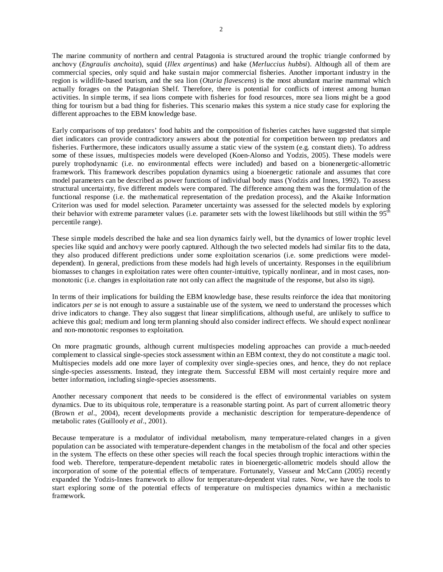The marine community of northern and central Patagonia is structured around the trophic triangle conformed by anchovy (*Engraulis anchoita*), squid (*Illex argentinus*) and hake (*Merluccius hubbsi*). Although all of them are commercial species, only squid and hake sustain major commercial fisheries. Another important industry in the region is wildlife-based tourism, and the sea lion (*Otaria flavescens*) is the most abundant marine mammal which actually forages on the Patagonian Shelf. Therefore, there is potential for conflicts of interest among human activities. In simple terms, if sea lions compete with fisheries for food resources, more sea lions might be a good thing for tourism but a bad thing for fisheries. This scenario makes this system a nice study case for exploring the different approaches to the EBM knowledge base.

Early comparisons of top predators' food habits and the composition of fisheries catches have suggested that simple diet indicators can provide contradictory answers about the potential for competition between top predators and fisheries. Furthermore, these indicators usually assume a static view of the system (e.g. constant diets). To address some of these issues, multispecies models were developed (Koen-Alonso and Yodzis, 2005). These models were purely trophodynamic (i.e. no environmental effects were included) and based on a bionenergetic-allometric framework. This framework describes population dynamics using a bioenergetic rationale and assumes that core model parameters can be described as power functions of individual body mass (Yodzis and Innes, 1992). To assess structural uncertainty, five different models were compared. The difference among them was the formulation of the functional response (i.e. the mathematical representation of the predation process), and the Akaike Information Criterion was used for model selection. Parameter uncertainty was assessed for the selected models by exploring their behavior with extreme parameter values (i.e. parameter sets with the lowest likelihoods but still within the  $95<sup>th</sup>$ percentile range).

These simple models described the hake and sea lion dynamics fairly well, but the dynamics of lower trophic level species like squid and anchovy were poorly captured. Although the two selected models had similar fits to the data, they also produced different predictions under some exploitation scenarios (i.e. some predictions were modeldependent). In general, predictions from these models had high levels of uncertainty. Responses in the equilibrium biomasses to changes in exploitation rates were often counter-intuitive, typically nonlinear, and in most cases, nonmonotonic (i.e. changes in exploitation rate not only can affect the magnitude of the response, but also its sign).

In terms of their implications for building the EBM knowledge base, these results reinforce the idea that monitoring indicators *per se* is not enough to assure a sustainable use of the system, we need to understand the processes which drive indicators to change. They also suggest that linear simplifications, although useful, are unlikely to suffice to achieve this goal; medium and long term planning should also consider indirect effects. We should expect nonlinear and non-monotonic responses to exploitation.

On more pragmatic grounds, although current multispecies modeling approaches can provide a much-needed complement to classical single-species stock assessment within an EBM context, they do not constitute a magic tool. Multispecies models add one more layer of complexity over single-species ones, and hence, they do not replace single-species assessments. Instead, they integrate them. Successful EBM will most certainly require more and better information, including single-species assessments.

Another necessary component that needs to be considered is the effect of environmental variables on system dynamics. Due to its ubiquitous role, temperature is a reasonable starting point. As part of current allometric theory (Brown *et al*., 2004), recent developments provide a mechanistic description for temperature-dependence of metabolic rates (Guillooly *et al*., 2001).

Because temperature is a modulator of individual metabolism, many temperature-related changes in a given population can be associated with temperature-dependent changes in the metabolism of the focal and other species in the system. The effects on these other species will reach the focal species through trophic interactions within the food web. Therefore, temperature-dependent metabolic rates in bioenergetic-allometric models should allow the incorporation of some of the potential effects of temperature. Fortunately, Vasseur and McCann (2005) recently expanded the Yodzis-Innes framework to allow for temperature-dependent vital rates. Now, we have the tools to start exploring some of the potential effects of temperature on multispecies dynamics within a mechanistic framework.